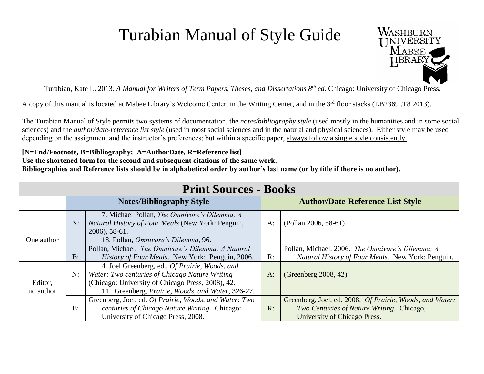## Turabian Manual of Style Guide



Turabian, Kate L. 2013. *A Manual for Writers of Term Papers, Theses, and Dissertations 8th ed.* Chicago: University of Chicago Press.

A copy of this manual is located at Mabee Library's Welcome Center, in the Writing Center, and in the 3<sup>rd</sup> floor stacks (LB2369 .T8 2013).

The Turabian Manual of Style permits two systems of documentation, the *notes/bibliography style* (used mostly in the humanities and in some social sciences) and the *author/date-reference list style* (used in most social sciences and in the natural and physical sciences). Either style may be used depending on the assignment and the instructor's preferences; but within a specific paper, always follow a single style consistently.

## **[N=End/Footnote, B=Bibliography; A=AuthorDate, R=Reference list]**

**Use the shortened form for the second and subsequent citations of the same work.** 

**Bibliographies and Reference lists should be in alphabetical order by author's last name (or by title if there is no author).**

| <b>Print Sources - Books</b> |                                 |                                                                                                                                                                                                            |                                         |                                                                                                                                       |
|------------------------------|---------------------------------|------------------------------------------------------------------------------------------------------------------------------------------------------------------------------------------------------------|-----------------------------------------|---------------------------------------------------------------------------------------------------------------------------------------|
|                              | <b>Notes/Bibliography Style</b> |                                                                                                                                                                                                            | <b>Author/Date-Reference List Style</b> |                                                                                                                                       |
| One author                   | N:                              | 7. Michael Pollan, The Omnivore's Dilemma: A<br>Natural History of Four Meals (New York: Penguin,<br>2006), 58-61.<br>18. Pollan, Omnivore's Dilemma, 96.                                                  | A:                                      | (Pollan 2006, 58-61)                                                                                                                  |
|                              | $B$ :                           | Pollan, Michael. The Omnivore's Dilemma: A Natural<br><i>History of Four Meals.</i> New York: Penguin, 2006.                                                                                               | R:                                      | Pollan, Michael. 2006. The Omnivore's Dilemma: A<br>Natural History of Four Meals. New York: Penguin.                                 |
| Editor,<br>no author         | N:                              | 4. Joel Greenberg, ed., Of Prairie, Woods, and<br>Water: Two centuries of Chicago Nature Writing<br>(Chicago: University of Chicago Press, 2008), 42.<br>11. Greenberg, Prairie, Woods, and Water, 326-27. | A:                                      | (Greenberg 2008, 42)                                                                                                                  |
|                              | $B$ :                           | Greenberg, Joel, ed. Of Prairie, Woods, and Water: Two<br>centuries of Chicago Nature Writing. Chicago:<br>University of Chicago Press, 2008.                                                              | R:                                      | Greenberg, Joel, ed. 2008. Of Prairie, Woods, and Water:<br>Two Centuries of Nature Writing. Chicago,<br>University of Chicago Press. |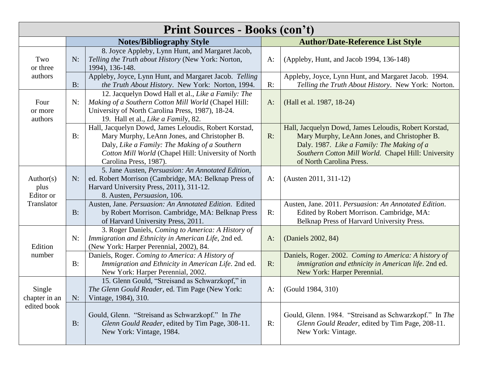| <b>Print Sources - Books (con't)</b> |       |                                                                                                                                                                                                                                         |       |                                                                                                                                                                                                                                        |  |
|--------------------------------------|-------|-----------------------------------------------------------------------------------------------------------------------------------------------------------------------------------------------------------------------------------------|-------|----------------------------------------------------------------------------------------------------------------------------------------------------------------------------------------------------------------------------------------|--|
|                                      |       | <b>Notes/Bibliography Style</b>                                                                                                                                                                                                         |       | <b>Author/Date-Reference List Style</b>                                                                                                                                                                                                |  |
| Two<br>or three                      | N:    | 8. Joyce Appleby, Lynn Hunt, and Margaret Jacob,<br>Telling the Truth about History (New York: Norton,<br>1994), 136-148.                                                                                                               | A:    | (Appleby, Hunt, and Jacob 1994, 136-148)                                                                                                                                                                                               |  |
| authors                              | $B$ : | Appleby, Joyce, Lynn Hunt, and Margaret Jacob. Telling<br>the Truth About History. New York: Norton, 1994.                                                                                                                              | R:    | Appleby, Joyce, Lynn Hunt, and Margaret Jacob. 1994.<br>Telling the Truth About History. New York: Norton.                                                                                                                             |  |
| Four<br>or more<br>authors           | N:    | 12. Jacquelyn Dowd Hall et al., Like a Family: The<br>Making of a Southern Cotton Mill World (Chapel Hill:<br>University of North Carolina Press, 1987), 18-24.<br>19. Hall et al., Like a Family, 82.                                  | $A$ : | (Hall et al. 1987, 18-24)                                                                                                                                                                                                              |  |
|                                      | $B$ : | Hall, Jacquelyn Dowd, James Leloudis, Robert Korstad,<br>Mary Murphy, LeAnn Jones, and Christopher B.<br>Daly, Like a Family: The Making of a Southern<br>Cotton Mill World (Chapel Hill: University of North<br>Carolina Press, 1987). | $R$ : | Hall, Jacquelyn Dowd, James Leloudis, Robert Korstad,<br>Mary Murphy, LeAnn Jones, and Christopher B.<br>Daly. 1987. Like a Family: The Making of a<br>Southern Cotton Mill World. Chapel Hill: University<br>of North Carolina Press. |  |
| Author(s)<br>plus<br>Editor or       | N:    | 5. Jane Austen, Persuasion: An Annotated Edition,<br>ed. Robert Morrison (Cambridge, MA: Belknap Press of<br>Harvard University Press, 2011), 311-12.<br>8. Austen, Persuasion, 106.                                                    | A:    | $(Austen 2011, 311-12)$                                                                                                                                                                                                                |  |
| Translator                           | $B$ : | Austen, Jane. Persuasion: An Annotated Edition. Edited<br>by Robert Morrison. Cambridge, MA: Belknap Press<br>of Harvard University Press, 2011.                                                                                        | R:    | Austen, Jane. 2011. Persuasion: An Annotated Edition.<br>Edited by Robert Morrison. Cambridge, MA:<br>Belknap Press of Harvard University Press.                                                                                       |  |
| Edition                              | N:    | 3. Roger Daniels, Coming to America: A History of<br>Immigration and Ethnicity in American Life, 2nd ed.<br>(New York: Harper Perennial, 2002), 84.                                                                                     | $A$ : | (Daniels 2002, 84)                                                                                                                                                                                                                     |  |
| number                               | B:    | Daniels, Roger. Coming to America: A History of<br>Immigration and Ethnicity in American Life. 2nd ed.<br>New York: Harper Perennial, 2002.                                                                                             | R:    | Daniels, Roger. 2002. Coming to America: A history of<br>immigration and ethnicity in American life. 2nd ed.<br>New York: Harper Perennial.                                                                                            |  |
| Single<br>chapter in an              | N:    | 15. Glenn Gould, "Streisand as Schwarzkopf," in<br>The Glenn Gould Reader, ed. Tim Page (New York:<br>Vintage, 1984), 310.                                                                                                              | A:    | (Gould 1984, 310)                                                                                                                                                                                                                      |  |
| edited book                          | $B$ : | Gould, Glenn. "Streisand as Schwarzkopf." In The<br>Glenn Gould Reader, edited by Tim Page, 308-11.<br>New York: Vintage, 1984.                                                                                                         | R:    | Gould, Glenn. 1984. "Streisand as Schwarzkopf." In The<br>Glenn Gould Reader, edited by Tim Page, 208-11.<br>New York: Vintage.                                                                                                        |  |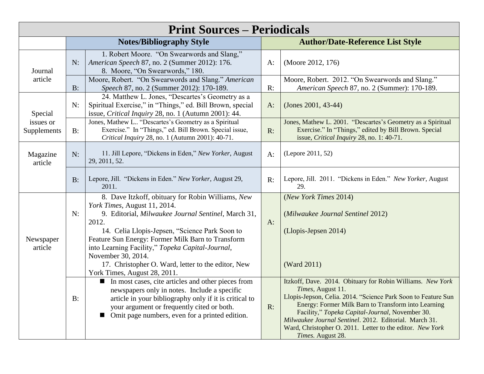|                          |       | <b>Print Sources – Periodicals</b>                                                                                                                                                                                                                                                                                                                                                                                       |       |                                                                                                                                                                                                                                                                                                                                                                                                        |
|--------------------------|-------|--------------------------------------------------------------------------------------------------------------------------------------------------------------------------------------------------------------------------------------------------------------------------------------------------------------------------------------------------------------------------------------------------------------------------|-------|--------------------------------------------------------------------------------------------------------------------------------------------------------------------------------------------------------------------------------------------------------------------------------------------------------------------------------------------------------------------------------------------------------|
|                          |       | <b>Notes/Bibliography Style</b>                                                                                                                                                                                                                                                                                                                                                                                          |       | <b>Author/Date-Reference List Style</b>                                                                                                                                                                                                                                                                                                                                                                |
| Journal                  | N:    | 1. Robert Moore. "On Swearwords and Slang,"<br>American Speech 87, no. 2 (Summer 2012): 176.<br>8. Moore, "On Swearwords," 180.                                                                                                                                                                                                                                                                                          | $A$ : | (Moore 2012, 176)                                                                                                                                                                                                                                                                                                                                                                                      |
| article                  | $B$ : | Moore, Robert. "On Swearwords and Slang." American<br>Speech 87, no. 2 (Summer 2012): 170-189.                                                                                                                                                                                                                                                                                                                           | R:    | Moore, Robert. 2012. "On Swearwords and Slang."<br>American Speech 87, no. 2 (Summer): 170-189.                                                                                                                                                                                                                                                                                                        |
| Special                  | N:    | 24. Matthew L. Jones, "Descartes's Geometry as a<br>Spiritual Exercise," in "Things," ed. Bill Brown, special<br>issue, Critical Inquiry 28, no. 1 (Autumn 2001): 44.                                                                                                                                                                                                                                                    | $A$ : | (Jones 2001, 43-44)                                                                                                                                                                                                                                                                                                                                                                                    |
| issues or<br>Supplements | $B$ : | Jones, Mathew L "Descartes's Geometry as a Spiritual<br>Exercise." In "Things," ed. Bill Brown. Special issue,<br>Critical Inquiry 28, no. 1 (Autumn 2001): 40-71.                                                                                                                                                                                                                                                       | R:    | Jones, Mathew L. 2001. "Descartes's Geometry as a Spiritual<br>Exercise." In "Things," edited by Bill Brown. Special<br>issue, Critical Inquiry 28, no. 1: 40-71.                                                                                                                                                                                                                                      |
| Magazine<br>article      | N:    | 11. Jill Lepore, "Dickens in Eden," New Yorker, August<br>29, 2011, 52.                                                                                                                                                                                                                                                                                                                                                  | $A$ : | (Lepore 2011, 52)                                                                                                                                                                                                                                                                                                                                                                                      |
|                          | $B$ : | Lepore, Jill. "Dickens in Eden." New Yorker, August 29,<br>2011.                                                                                                                                                                                                                                                                                                                                                         | R:    | Lepore, Jill. 2011. "Dickens in Eden." New Yorker, August<br>29.                                                                                                                                                                                                                                                                                                                                       |
| Newspaper<br>article     | N:    | 8. Dave Itzkoff, obituary for Robin Williams, New<br>York Times, August 11, 2014.<br>9. Editorial, Milwaukee Journal Sentinel, March 31,<br>2012.<br>14. Celia Llopis-Jepsen, "Science Park Soon to<br>Feature Sun Energy: Former Milk Barn to Transform<br>into Learning Facility," Topeka Capital-Journal,<br>November 30, 2014.<br>17. Christopher O. Ward, letter to the editor, New<br>York Times, August 28, 2011. | $A$ : | (New York Times 2014)<br>(Milwaukee Journal Sentinel 2012)<br>(Llopis-Jepsen 2014)<br>(Ward 2011)                                                                                                                                                                                                                                                                                                      |
|                          | $B$ : | In most cases, cite articles and other pieces from<br>newspapers only in notes. Include a specific<br>article in your bibliography only if it is critical to<br>your argument or frequently cited or both.<br>Omit page numbers, even for a printed edition.                                                                                                                                                             | R:    | Itzkoff, Dave. 2014. Obituary for Robin Williams. New York<br>Times, August 11.<br>Llopis-Jepson, Celia. 2014. "Science Park Soon to Feature Sun<br>Energy: Former Milk Barn to Transform into Learning<br>Facility," Topeka Capital-Journal, November 30.<br>Milwaukee Journal Sentinel. 2012. Editorial. March 31.<br>Ward, Christopher O. 2011. Letter to the editor. New York<br>Times. August 28. |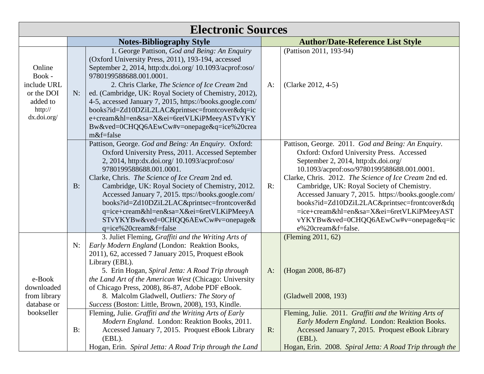| <b>Electronic Sources</b>                                                           |                                 |                                                                                                                                                                                                                                                                                                                                                                                                                                                                                                                             |       |                                                                                                                                                                                                                                                                                                                                                                                                                                                                                                                |  |
|-------------------------------------------------------------------------------------|---------------------------------|-----------------------------------------------------------------------------------------------------------------------------------------------------------------------------------------------------------------------------------------------------------------------------------------------------------------------------------------------------------------------------------------------------------------------------------------------------------------------------------------------------------------------------|-------|----------------------------------------------------------------------------------------------------------------------------------------------------------------------------------------------------------------------------------------------------------------------------------------------------------------------------------------------------------------------------------------------------------------------------------------------------------------------------------------------------------------|--|
|                                                                                     | <b>Notes-Bibliography Style</b> |                                                                                                                                                                                                                                                                                                                                                                                                                                                                                                                             |       | <b>Author/Date-Reference List Style</b>                                                                                                                                                                                                                                                                                                                                                                                                                                                                        |  |
| Online<br>Book -<br>include URL<br>or the DOI<br>added to<br>http://<br>dx.doi.org/ | N:                              | 1. George Pattison, God and Being: An Enquiry<br>(Oxford University Press, 2011), 193-194, accessed<br>September 2, 2014, http:dx.doi.org/ 10.1093/acprof:oso/<br>9780199588688.001.0001.<br>2. Chris Clarke, The Science of Ice Cream 2nd<br>ed. (Cambridge, UK: Royal Society of Chemistry, 2012),<br>4-5, accessed January 7, 2015, https://books.google.com/<br>books?id=Zd10DZiL2LAC&printsec=frontcover&dq=ic<br>e+cream&hl=en&sa=X&ei=6retVLKiPMeeyASTvYKY<br>Bw&ved=0CHQQ6AEwCw#v=onepage&q=ice%20crea<br>m&f=false | $A$ : | (Pattison 2011, 193-94)<br>(Clarke 2012, 4-5)                                                                                                                                                                                                                                                                                                                                                                                                                                                                  |  |
|                                                                                     | B:                              | Pattison, George. God and Being: An Enquiry. Oxford:<br>Oxford University Press, 2011. Accessed September<br>2, 2014, http:dx.doi.org/ 10.1093/acprof:oso/<br>9780199588688.001.0001.<br>Clarke, Chris. The Science of Ice Cream 2nd ed.<br>Cambridge, UK: Royal Society of Chemistry, 2012.<br>Accessed January 7, 2015. ttps://books.google.com/<br>books?id=Zd10DZiL2LAC&printsec=frontcover&d<br>q=ice+cream&hl=en&sa=X&ei=6retVLKiPMeeyA<br>STvYKYBw&ved=0CHQQ6AEwCw#v=onepage&<br>q=ice%20cream&f=false               | R:    | Pattison, George. 2011. God and Being: An Enquiry.<br>Oxford: Oxford University Press. Accessed<br>September 2, 2014, http:dx.doi.org/<br>10.1093/acprof:oso/9780199588688.001.0001.<br>Clarke, Chris. 2012. The Science of Ice Cream 2nd ed.<br>Cambridge, UK: Royal Society of Chemistry.<br>Accessed January 7, 2015. https://books.google.com/<br>books?id=Zd10DZiL2LAC&printsec=frontcover&dq<br>=ice+cream&hl=en&sa=X&ei=6retVLKiPMeeyAST<br>vYKYBw&ved=0CHQQ6AEwCw#v=onepage&q=ic<br>e%20cream&f=false. |  |
| e-Book<br>downloaded<br>from library<br>database or<br>bookseller                   | N:                              | 3. Juliet Fleming, Graffiti and the Writing Arts of<br>Early Modern England (London: Reaktion Books,<br>2011), 62, accessed 7 January 2015, Proquest eBook<br>Library (EBL).<br>5. Erin Hogan, Spiral Jetta: A Road Trip through<br>the Land Art of the American West (Chicago: University<br>of Chicago Press, 2008), 86-87, Adobe PDF eBook.<br>8. Malcolm Gladwell, Outliers: The Story of<br>Success (Boston: Little, Brown, 2008), 193, Kindle.<br>Fleming, Julie. Graffiti and the Writing Arts of Early              | $A$ : | (Fleming 2011, 62)<br>(Hogan 2008, 86-87)<br>(Gladwell 2008, 193)<br>Fleming, Julie. 2011. Graffiti and the Writing Arts of                                                                                                                                                                                                                                                                                                                                                                                    |  |
|                                                                                     | B:                              | Modern England. London: Reaktion Books, 2011.<br>Accessed January 7, 2015. Proquest eBook Library<br>$(EBL)$ .<br>Hogan, Erin. Spiral Jetta: A Road Trip through the Land                                                                                                                                                                                                                                                                                                                                                   | $R$ : | Early Modern England. London: Reaktion Books.<br>Accessed January 7, 2015. Proquest eBook Library<br>$(EBL)$ .<br>Hogan, Erin. 2008. Spiral Jetta: A Road Trip through the                                                                                                                                                                                                                                                                                                                                     |  |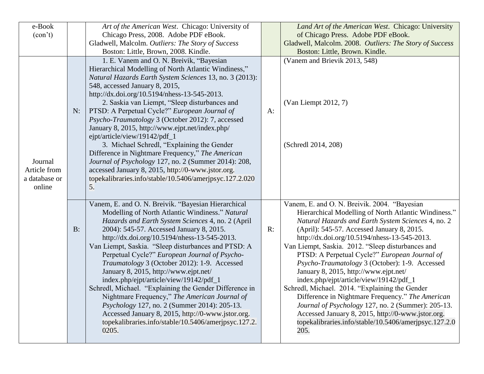| e-Book                                             |       | Art of the American West. Chicago: University of                                                                                                                                                                                                                                                                                                                                                                                                                                                                                                                                                                                                                                                                                                                                            |    | Land Art of the American West. Chicago: University                                                                                                                                                                                                                                                                                                                                                                                                                                                                                                                                                                                                                                                                                                                                     |
|----------------------------------------------------|-------|---------------------------------------------------------------------------------------------------------------------------------------------------------------------------------------------------------------------------------------------------------------------------------------------------------------------------------------------------------------------------------------------------------------------------------------------------------------------------------------------------------------------------------------------------------------------------------------------------------------------------------------------------------------------------------------------------------------------------------------------------------------------------------------------|----|----------------------------------------------------------------------------------------------------------------------------------------------------------------------------------------------------------------------------------------------------------------------------------------------------------------------------------------------------------------------------------------------------------------------------------------------------------------------------------------------------------------------------------------------------------------------------------------------------------------------------------------------------------------------------------------------------------------------------------------------------------------------------------------|
| (con't)                                            |       | Chicago Press, 2008. Adobe PDF eBook.                                                                                                                                                                                                                                                                                                                                                                                                                                                                                                                                                                                                                                                                                                                                                       |    | of Chicago Press. Adobe PDF eBook.                                                                                                                                                                                                                                                                                                                                                                                                                                                                                                                                                                                                                                                                                                                                                     |
|                                                    |       | Gladwell, Malcolm. Outliers: The Story of Success                                                                                                                                                                                                                                                                                                                                                                                                                                                                                                                                                                                                                                                                                                                                           |    | Gladwell, Malcolm. 2008. Outliers: The Story of Success                                                                                                                                                                                                                                                                                                                                                                                                                                                                                                                                                                                                                                                                                                                                |
|                                                    |       | Boston: Little, Brown, 2008. Kindle.                                                                                                                                                                                                                                                                                                                                                                                                                                                                                                                                                                                                                                                                                                                                                        |    | Boston: Little, Brown. Kindle.                                                                                                                                                                                                                                                                                                                                                                                                                                                                                                                                                                                                                                                                                                                                                         |
| Journal<br>Article from<br>a database or<br>online | N:    | 1. E. Vanem and O. N. Breivik, "Bayesian<br>Hierarchical Modelling of North Atlantic Windiness,"<br>Natural Hazards Earth System Sciences 13, no. 3 (2013):<br>548, accessed January 8, 2015,<br>http://dx.doi.org/10.5194/nhess-13-545-2013.<br>2. Saskia van Liempt, "Sleep disturbances and<br>PTSD: A Perpetual Cycle?" European Journal of<br>Psycho-Traumatology 3 (October 2012): 7, accessed<br>January 8, 2015, http://www.ejpt.net/index.php/<br>ejpt/article/view/19142/pdf_1<br>3. Michael Schredl, "Explaining the Gender<br>Difference in Nightmare Frequency," The American<br>Journal of Psychology 127, no. 2 (Summer 2014): 208,<br>accessed January 8, 2015, http://0-www.jstor.org.<br>topekalibraries.info/stable/10.5406/ameripsyc.127.2.020<br>5.                    | A: | (Vanem and Brievik 2013, 548)<br>(Van Liempt 2012, 7)<br>(Schredl 2014, 208)                                                                                                                                                                                                                                                                                                                                                                                                                                                                                                                                                                                                                                                                                                           |
|                                                    | $B$ : | Vanem, E. and O. N. Breivik. "Bayesian Hierarchical<br>Modelling of North Atlantic Windiness." Natural<br>Hazards and Earth System Sciences 4, no. 2 (April<br>2004): 545-57. Accessed January 8, 2015.<br>http://dx.doi.org/10.5194/nhess-13-545-2013.<br>Van Liempt, Saskia. "Sleep disturbances and PTSD: A<br>Perpetual Cycle?" European Journal of Psycho-<br>Traumatology 3 (October 2012): 1-9. Accessed<br>January 8, 2015, http://www.ejpt.net/<br>index.php/ejpt/article/view/19142/pdf_1<br>Schredl, Michael. "Explaining the Gender Difference in<br>Nightmare Frequency," The American Journal of<br><i>Psychology</i> 127, no. 2 (Summer 2014): 205-13.<br>Accessed January 8, 2015, http://0-www.jstor.org.<br>topekalibraries.info/stable/10.5406/ameripsyc.127.2.<br>0205. | R: | Vanem, E. and O. N. Breivik. 2004. "Bayesian<br>Hierarchical Modelling of North Atlantic Windiness."<br>Natural Hazards and Earth System Sciences 4, no. 2<br>(April): 545-57. Accessed January 8, 2015.<br>http://dx.doi.org/10.5194/nhess-13-545-2013.<br>Van Liempt, Saskia. 2012. "Sleep disturbances and<br>PTSD: A Perpetual Cycle?" European Journal of<br>Psycho-Traumatology 3 (October): 1-9. Accessed<br>January 8, 2015, http://www.ejpt.net/<br>index.php/ejpt/article/view/19142/pdf_1<br>Schredl, Michael. 2014. "Explaining the Gender<br>Difference in Nightmare Frequency." The American<br>Journal of Psychology 127, no. 2 (Summer): 205-13.<br>Accessed January 8, 2015, http://0-www.jstor.org.<br>topekalibraries.info/stable/10.5406/ameripsyc.127.2.0<br>205. |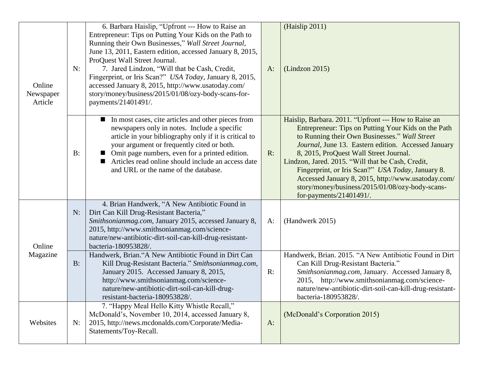| Online<br>Newspaper<br>Article | N:    | 6. Barbara Haislip, "Upfront --- How to Raise an<br>Entrepreneur: Tips on Putting Your Kids on the Path to<br>Running their Own Businesses," Wall Street Journal,<br>June 13, 2011, Eastern edition, accessed January 8, 2015,<br>ProQuest Wall Street Journal.<br>7. Jared Lindzon, "Will that be Cash, Credit,<br>Fingerprint, or Iris Scan?" USA Today, January 8, 2015,<br>accessed January 8, 2015, http://www.usatoday.com/<br>story/money/business/2015/01/08/ozy-body-scans-for-<br>payments/21401491/. | $A$ : | (Haislip 2011)<br>(Lindzon 2015)                                                                                                                                                                                                                                                                                                                                                                                                                                                                            |
|--------------------------------|-------|-----------------------------------------------------------------------------------------------------------------------------------------------------------------------------------------------------------------------------------------------------------------------------------------------------------------------------------------------------------------------------------------------------------------------------------------------------------------------------------------------------------------|-------|-------------------------------------------------------------------------------------------------------------------------------------------------------------------------------------------------------------------------------------------------------------------------------------------------------------------------------------------------------------------------------------------------------------------------------------------------------------------------------------------------------------|
|                                | B:    | In most cases, cite articles and other pieces from<br>newspapers only in notes. Include a specific<br>article in your bibliography only if it is critical to<br>your argument or frequently cited or both.<br>Omit page numbers, even for a printed edition.<br>Articles read online should include an access date<br>and URL or the name of the database.                                                                                                                                                      | R:    | Haislip, Barbara. 2011. "Upfront --- How to Raise an<br>Entrepreneur: Tips on Putting Your Kids on the Path<br>to Running their Own Businesses." Wall Street<br>Journal, June 13. Eastern edition. Accessed January<br>8, 2015, ProQuest Wall Street Journal.<br>Lindzon, Jared. 2015. "Will that be Cash, Credit,<br>Fingerprint, or Iris Scan?" USA Today, January 8.<br>Accessed January 8, 2015, http://www.usatoday.com/<br>story/money/business/2015/01/08/ozy-body-scans-<br>for-payments/21401491/. |
| Online                         | N:    | 4. Brian Handwerk, "A New Antibiotic Found in<br>Dirt Can Kill Drug-Resistant Bacteria,"<br>Smithsonianmag.com, January 2015, accessed January 8,<br>2015, http://www.smithsonianmag.com/science-<br>nature/new-antibiotic-dirt-soil-can-kill-drug-resistant-<br>bacteria-180953828/.                                                                                                                                                                                                                           | A:    | (Handwerk 2015)                                                                                                                                                                                                                                                                                                                                                                                                                                                                                             |
| Magazine                       | $B$ : | Handwerk, Brian."A New Antibiotic Found in Dirt Can<br>Kill Drug-Resistant Bacteria." Smithsonianmag.com,<br>January 2015. Accessed January 8, 2015,<br>http://www.smithsonianmag.com/science-<br>nature/new-antibiotic-dirt-soil-can-kill-drug-<br>resistant-bacteria-180953828.                                                                                                                                                                                                                               | R:    | Handwerk, Brian. 2015. "A New Antibiotic Found in Dirt<br>Can Kill Drug-Resistant Bacteria."<br>Smithsonianmag.com, January. Accessed January 8,<br>2015, http://www.smithsonianmag.com/science-<br>nature/new-antibiotic-dirt-soil-can-kill-drug-resistant-<br>bacteria-180953828.                                                                                                                                                                                                                         |
| Websites                       | N:    | 7. "Happy Meal Hello Kitty Whistle Recall,"<br>McDonald's, November 10, 2014, accessed January 8,<br>2015, http://news.mcdonalds.com/Corporate/Media-<br>Statements/Toy-Recall.                                                                                                                                                                                                                                                                                                                                 | $A$ : | (McDonald's Corporation 2015)                                                                                                                                                                                                                                                                                                                                                                                                                                                                               |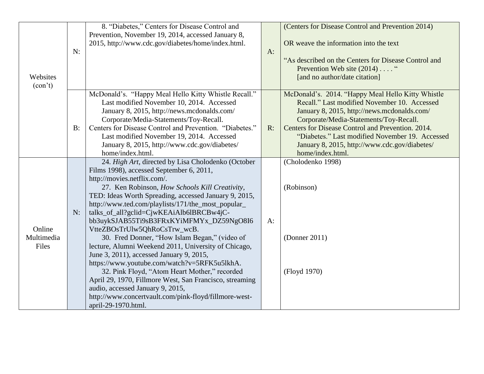| Websites<br>(con't)           | N:    | 8. "Diabetes," Centers for Disease Control and<br>Prevention, November 19, 2014, accessed January 8,<br>2015, http://www.cdc.gov/diabetes/home/index.html.                                                                                                                                                                                                                                                                                                                                                                                                                                                                                                                                                                                                                                                                                                  | $A$ : | (Centers for Disease Control and Prevention 2014)<br>OR weave the information into the text<br>"As described on the Centers for Disease Control and<br>Prevention Web site (2014) "<br>[and no author/date citation]                                                                                                                                                    |
|-------------------------------|-------|-------------------------------------------------------------------------------------------------------------------------------------------------------------------------------------------------------------------------------------------------------------------------------------------------------------------------------------------------------------------------------------------------------------------------------------------------------------------------------------------------------------------------------------------------------------------------------------------------------------------------------------------------------------------------------------------------------------------------------------------------------------------------------------------------------------------------------------------------------------|-------|-------------------------------------------------------------------------------------------------------------------------------------------------------------------------------------------------------------------------------------------------------------------------------------------------------------------------------------------------------------------------|
|                               | $B$ : | McDonald's. "Happy Meal Hello Kitty Whistle Recall."<br>Last modified November 10, 2014. Accessed<br>January 8, 2015, http://news.mcdonalds.com/<br>Corporate/Media-Statements/Toy-Recall.<br>Centers for Disease Control and Prevention. "Diabetes."<br>Last modified November 19, 2014. Accessed<br>January 8, 2015, http://www.cdc.gov/diabetes/<br>home/index.html.                                                                                                                                                                                                                                                                                                                                                                                                                                                                                     | $R$ : | McDonald's. 2014. "Happy Meal Hello Kitty Whistle<br>Recall." Last modified November 10. Accessed<br>January 8, 2015, http://news.mcdonalds.com/<br>Corporate/Media-Statements/Toy-Recall.<br>Centers for Disease Control and Prevention. 2014.<br>"Diabetes." Last modified November 19. Accessed<br>January 8, 2015, http://www.cdc.gov/diabetes/<br>home/index.html. |
| Online<br>Multimedia<br>Files | N:    | 24. High Art, directed by Lisa Cholodenko (October<br>Films 1998), accessed September 6, 2011,<br>http://movies.netflix.com/.<br>27. Ken Robinson, How Schools Kill Creativity,<br>TED: Ideas Worth Spreading, accessed January 9, 2015,<br>http://www.ted.com/playlists/171/the_most_popular_<br>talks_of_all?gclid=CjwKEAiAlb6lBRCBw4jC-<br>bb3uykSJAB55Ti9sB3FRxKYiMFMYx_DZ59NgO8I6<br>VtteZBOsTrUlw5QhRoCsTrw_wcB.<br>30. Fred Donner, "How Islam Began," (video of<br>lecture, Alumni Weekend 2011, University of Chicago,<br>June 3, 2011), accessed January 9, 2015,<br>https://www.youtube.com/watch?v=5RFK5u5lkhA.<br>32. Pink Floyd, "Atom Heart Mother," recorded<br>April 29, 1970, Fillmore West, San Francisco, streaming<br>audio, accessed January 9, 2015,<br>http://www.concertvault.com/pink-floyd/fillmore-west-<br>april-29-1970.html. | $A$ : | (Cholodenko 1998)<br>(Robinson)<br>(Donner 2011)<br>(Floyd 1970)                                                                                                                                                                                                                                                                                                        |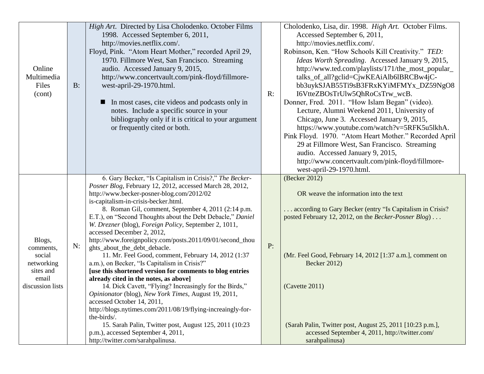| Online<br>Multimedia<br>Files<br>(cont)                                               | $B$ : | High Art. Directed by Lisa Cholodenko. October Films<br>1998. Accessed September 6, 2011,<br>http://movies.netflix.com/.<br>Floyd, Pink. "Atom Heart Mother," recorded April 29,<br>1970. Fillmore West, San Francisco. Streaming<br>audio. Accessed January 9, 2015,<br>http://www.concertvault.com/pink-floyd/fillmore-<br>west-april-29-1970.html.<br>In most cases, cite videos and podcasts only in<br>notes. Include a specific source in your<br>bibliography only if it is critical to your argument<br>or frequently cited or both.                                                                                                                                                                                                                                                                                                                                                                                                                                                                                                                                                      | R: | Cholodenko, Lisa, dir. 1998. High Art. October Films.<br>Accessed September 6, 2011,<br>http://movies.netflix.com/.<br>Robinson, Ken. "How Schools Kill Creativity." TED:<br>Ideas Worth Spreading. Accessed January 9, 2015,<br>http://www.ted.com/playlists/171/the_most_popular_<br>talks_of_all?gclid=CjwKEAiAlb6lBRCBw4jC-<br>bb3uykSJAB55Ti9sB3FRxKYiMFMYx_DZ59NgO8<br>I6VtteZBOsTrUlw5QhRoCsTrw_wcB.<br>Donner, Fred. 2011. "How Islam Began" (video).<br>Lecture, Alumni Weekend 2011, University of<br>Chicago, June 3. Accessed January 9, 2015,<br>https://www.youtube.com/watch?v=5RFK5u5lkhA.<br>Pink Floyd. 1970. "Atom Heart Mother." Recorded April<br>29 at Fillmore West, San Francisco. Streaming<br>audio. Accessed January 9, 2015,<br>http://www.concertvault.com/pink-floyd/fillmore-<br>west-april-29-1970.html. |
|---------------------------------------------------------------------------------------|-------|---------------------------------------------------------------------------------------------------------------------------------------------------------------------------------------------------------------------------------------------------------------------------------------------------------------------------------------------------------------------------------------------------------------------------------------------------------------------------------------------------------------------------------------------------------------------------------------------------------------------------------------------------------------------------------------------------------------------------------------------------------------------------------------------------------------------------------------------------------------------------------------------------------------------------------------------------------------------------------------------------------------------------------------------------------------------------------------------------|----|------------------------------------------------------------------------------------------------------------------------------------------------------------------------------------------------------------------------------------------------------------------------------------------------------------------------------------------------------------------------------------------------------------------------------------------------------------------------------------------------------------------------------------------------------------------------------------------------------------------------------------------------------------------------------------------------------------------------------------------------------------------------------------------------------------------------------------------|
| Blogs,<br>comments,<br>social<br>networking<br>sites and<br>email<br>discussion lists | N:    | 6. Gary Becker, "Is Capitalism in Crisis?," The Becker-<br>Posner Blog, February 12, 2012, accessed March 28, 2012,<br>http://www.becker-posner-blog.com/2012/02<br>is-capitalism-in-crisis-becker.html.<br>8. Roman Gil, comment, September 4, 2011 (2:14 p.m.<br>E.T.), on "Second Thoughts about the Debt Debacle," Daniel<br>W. Drezner (blog), Foreign Policy, September 2, 1011,<br>accessed December 2, 2012,<br>http://www.foreignpolicy.com/posts.2011/09/01/second_thou<br>ghts_about_the_debt_debacle.<br>11. Mr. Feel Good, comment, February 14, 2012 (1:37<br>a.m.), on Becker, "Is Capitalism in Crisis?"<br>[use this shortened version for comments to blog entries<br>already cited in the notes, as above]<br>14. Dick Cavett, "Flying? Increasingly for the Birds,"<br>Opinionator (blog), New York Times, August 19, 2011,<br>accessed October 14, 2011,<br>http://blogs.nytimes.com/2011/08/19/flying-increaingly-for-<br>the-birds/.<br>15. Sarah Palin, Twitter post, August 125, 2011 (10:23)<br>p.m.), accessed September 4, 2011,<br>http://twitter.com/sarahpalinusa. | P: | (Becker 2012)<br>OR weave the information into the text<br>according to Gary Becker (entry "Is Capitalism in Crisis?<br>posted February 12, 2012, on the Becker-Posner Blog)<br>(Mr. Feel Good, February 14, 2012 [1:37 a.m.], comment on<br><b>Becker 2012)</b><br>(Cavette 2011)<br>(Sarah Palin, Twitter post, August 25, 2011 [10:23 p.m.],<br>accessed September 4, 2011, http://twitter.com/<br>sarahpalinusa)                                                                                                                                                                                                                                                                                                                                                                                                                     |